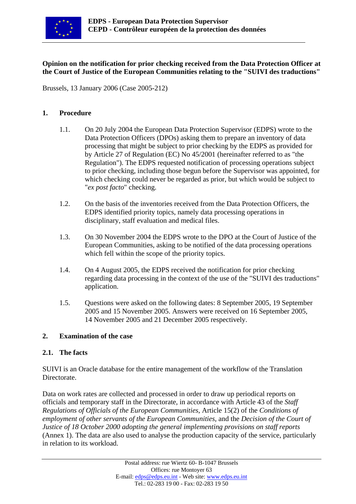

## **Opinion on the notification for prior checking received from the Data Protection Officer at the Court of Justice of the European Communities relating to the "SUIVI des traductions"**

Brussels, 13 January 2006 (Case 2005-212)

### **1. Procedure**

- 1.1. On 20 July 2004 the European Data Protection Supervisor (EDPS) wrote to the Data Protection Officers (DPOs) asking them to prepare an inventory of data processing that might be subject to prior checking by the EDPS as provided for by Article 27 of Regulation (EC) No 45/2001 (hereinafter referred to as "the Regulation"). The EDPS requested notification of processing operations subject to prior checking, including those begun before the Supervisor was appointed, for which checking could never be regarded as prior, but which would be subject to "*ex post facto*" checking.
- 1.2. On the basis of the inventories received from the Data Protection Officers, the EDPS identified priority topics, namely data processing operations in disciplinary, staff evaluation and medical files.
- 1.3. On 30 November 2004 the EDPS wrote to the DPO at the Court of Justice of the European Communities, asking to be notified of the data processing operations which fell within the scope of the priority topics.
- 1.4. On 4 August 2005, the EDPS received the notification for prior checking regarding data processing in the context of the use of the "SUIVI des traductions" application.
- 1.5. Questions were asked on the following dates: 8 September 2005, 19 September 2005 and 15 November 2005. Answers were received on 16 September 2005, 14 November 2005 and 21 December 2005 respectively.

#### **2. Examination of the case**

#### **2.1. The facts**

SUIVI is an Oracle database for the entire management of the workflow of the Translation Directorate.

Data on work rates are collected and processed in order to draw up periodical reports on officials and temporary staff in the Directorate, in accordance with Article 43 of the *Staff Regulations of Officials of the European Communities*, Article 15(2) of the *Conditions of employment of other servants of the European Communities*, and the *Decision of the Court of Justice of 18 October 2000 adopting the general implementing provisions on staff reports*  (Annex 1). The data are also used to analyse the production capacity of the service, particularly in relation to its workload.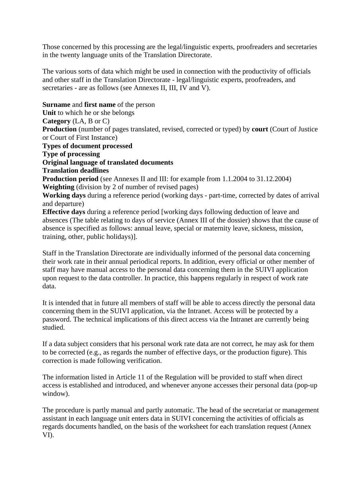Those concerned by this processing are the legal/linguistic experts, proofreaders and secretaries in the twenty language units of the Translation Directorate.

The various sorts of data which might be used in connection with the productivity of officials and other staff in the Translation Directorate - legal/linguistic experts, proofreaders, and secretaries - are as follows (see Annexes II, III, IV and V).

**Surname** and **first name** of the person **Unit** to which he or she belongs **Category** (LA, B or C) **Production** (number of pages translated, revised, corrected or typed) by **court** (Court of Justice or Court of First Instance) **Types of document processed Type of processing Original language of translated documents Translation deadlines Production period** (see Annexes II and III: for example from 1.1.2004 to 31.12.2004) **Weighting** (division by 2 of number of revised pages) **Working days** during a reference period (working days - part-time, corrected by dates of arrival and departure) **Effective days** during a reference period [working days following deduction of leave and absences (The table relating to days of service (Annex III of the dossier) shows that the cause of absence is specified as follows: annual leave, special or maternity leave, sickness, mission, training, other, public holidays)]. Staff in the Translation Directorate are individually informed of the personal data concerning

their work rate in their annual periodical reports. In addition, every official or other member of staff may have manual access to the personal data concerning them in the SUIVI application upon request to the data controller. In practice, this happens regularly in respect of work rate data.

It is intended that in future all members of staff will be able to access directly the personal data concerning them in the SUIVI application, via the Intranet. Access will be protected by a password. The technical implications of this direct access via the Intranet are currently being studied.

If a data subject considers that his personal work rate data are not correct, he may ask for them to be corrected (e.g., as regards the number of effective days, or the production figure). This correction is made following verification.

The information listed in Article 11 of the Regulation will be provided to staff when direct access is established and introduced, and whenever anyone accesses their personal data (pop-up window).

The procedure is partly manual and partly automatic. The head of the secretariat or management assistant in each language unit enters data in SUIVI concerning the activities of officials as regards documents handled, on the basis of the worksheet for each translation request (Annex VI).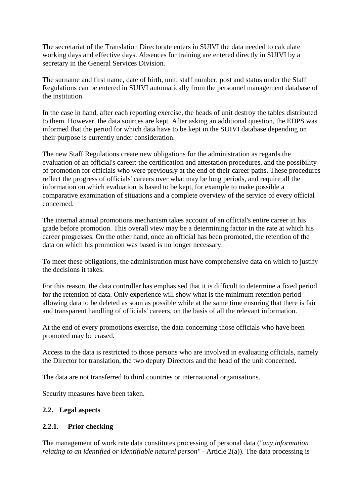The secretariat of the Translation Directorate enters in SUIVI the data needed to calculate working days and effective days. Absences for training are entered directly in SUIVI by a secretary in the General Services Division.

The surname and first name, date of birth, unit, staff number, post and status under the Staff Regulations can be entered in SUIVI automatically from the personnel management database of the institution.

In the case in hand, after each reporting exercise, the heads of unit destroy the tables distributed to them. However, the data sources are kept. After asking an additional question, the EDPS was informed that the period for which data have to be kept in the SUIVI database depending on their purpose is currently under consideration.

The new Staff Regulations create new obligations for the administration as regards the evaluation of an official's career: the certification and attestation procedures, and the possibility of promotion for officials who were previously at the end of their career paths. These procedures reflect the progress of officials' careers over what may be long periods, and require all the information on which evaluation is based to be kept, for example to make possible a comparative examination of situations and a complete overview of the service of every official concerned.

The internal annual promotions mechanism takes account of an official's entire career in his grade before promotion. This overall view may be a determining factor in the rate at which his career progresses. On the other hand, once an official has been promoted, the retention of the data on which his promotion was based is no longer necessary.

To meet these obligations, the administration must have comprehensive data on which to justify the decisions it takes.

For this reason, the data controller has emphasised that it is difficult to determine a fixed period for the retention of data. Only experience will show what is the minimum retention period allowing data to be deleted as soon as possible while at the same time ensuring that there is fair and transparent handling of officials' careers, on the basis of all the relevant information.

At the end of every promotions exercise, the data concerning those officials who have been promoted may be erased.

Access to the data is restricted to those persons who are involved in evaluating officials, namely the Director for translation, the two deputy Directors and the head of the unit concerned.

The data are not transferred to third countries or international organisations.

Security measures have been taken.

## **2.2. Legal aspects**

## **2.2.1. Prior checking**

The management of work rate data constitutes processing of personal data (*"any information relating to an identified or identifiable natural person"* - Article 2(a)). The data processing is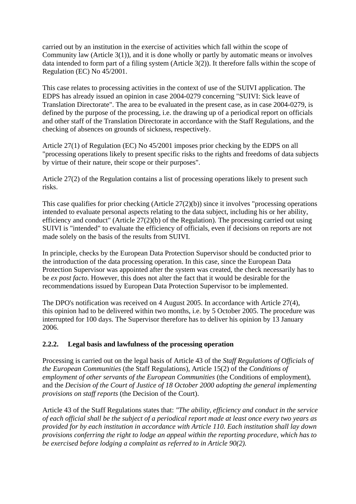carried out by an institution in the exercise of activities which fall within the scope of Community law (Article 3(1)), and it is done wholly or partly by automatic means or involves data intended to form part of a filing system (Article 3(2)). It therefore falls within the scope of Regulation (EC) No 45/2001.

This case relates to processing activities in the context of use of the SUIVI application. The EDPS has already issued an opinion in case 2004-0279 concerning "SUIVI: Sick leave of Translation Directorate". The area to be evaluated in the present case, as in case 2004-0279, is defined by the purpose of the processing, i.e. the drawing up of a periodical report on officials and other staff of the Translation Directorate in accordance with the Staff Regulations, and the checking of absences on grounds of sickness, respectively.

Article 27(1) of Regulation (EC) No 45/2001 imposes prior checking by the EDPS on all "processing operations likely to present specific risks to the rights and freedoms of data subjects by virtue of their nature, their scope or their purposes".

Article 27(2) of the Regulation contains a list of processing operations likely to present such risks.

This case qualifies for prior checking (Article 27(2)(b)) since it involves "processing operations intended to evaluate personal aspects relating to the data subject, including his or her ability, efficiency and conduct" (Article 27(2)(b) of the Regulation). The processing carried out using SUIVI is "intended" to evaluate the efficiency of officials, even if decisions on reports are not made solely on the basis of the results from SUIVI.

In principle, checks by the European Data Protection Supervisor should be conducted prior to the introduction of the data processing operation. In this case, since the European Data Protection Supervisor was appointed after the system was created, the check necessarily has to be *ex post facto*. However, this does not alter the fact that it would be desirable for the recommendations issued by European Data Protection Supervisor to be implemented.

The DPO's notification was received on 4 August 2005. In accordance with Article 27(4), this opinion had to be delivered within two months, i.e. by 5 October 2005. The procedure was interrupted for 100 days. The Supervisor therefore has to deliver his opinion by 13 January 2006.

# **2.2.2. Legal basis and lawfulness of the processing operation**

Processing is carried out on the legal basis of Article 43 of the *Staff Regulations of Officials of the European Communities* (the Staff Regulations), Article 15(2) of the *Conditions of employment of other servants of the European Communities (the Conditions of employment),* and the *Decision of the Court of Justice of 18 October 2000 adopting the general implementing provisions on staff reports* (the Decision of the Court).

Article 43 of the Staff Regulations states that: *"The ability, efficiency and conduct in the service of each official shall be the subject of a periodical report made at least once every two years as provided for by each institution in accordance with Article 110. Each institution shall lay down provisions conferring the right to lodge an appeal within the reporting procedure, which has to be exercised before lodging a complaint as referred to in Article 90(2).*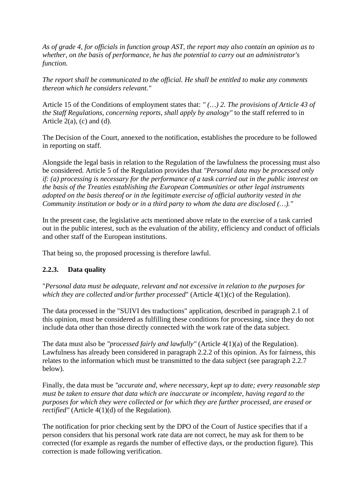*As of grade 4, for officials in function group AST, the report may also contain an opinion as to whether, on the basis of performance, he has the potential to carry out an administrator's function.* 

*The report shall be communicated to the official. He shall be entitled to make any comments thereon which he considers relevant."*

Article 15 of the Conditions of employment states that: *" (…) 2. The provisions of Article 43 of the Staff Regulations, concerning reports, shall apply by analogy"* to the staff referred to in Article  $2(a)$ , (c) and (d).

The Decision of the Court, annexed to the notification, establishes the procedure to be followed in reporting on staff.

Alongside the legal basis in relation to the Regulation of the lawfulness the processing must also be considered. Article 5 of the Regulation provides that *"Personal data may be processed only if: (a) processing is necessary for the performance of a task carried out in the public interest on the basis of the Treaties establishing the European Communities or other legal instruments adopted on the basis thereof or in the legitimate exercise of official authority vested in the Community institution or body or in a third party to whom the data are disclosed (…)."* 

In the present case, the legislative acts mentioned above relate to the exercise of a task carried out in the public interest, such as the evaluation of the ability, efficiency and conduct of officials and other staff of the European institutions.

That being so, the proposed processing is therefore lawful.

# **2.2.3. Data quality**

"*Personal data must be adequate, relevant and not excessive in relation to the purposes for which they are collected and/or further processed*" (Article 4(1)(c) of the Regulation).

The data processed in the "SUIVI des traductions" application, described in paragraph 2.1 of this opinion, must be considered as fulfilling these conditions for processing, since they do not include data other than those directly connected with the work rate of the data subject.

The data must also be *"processed fairly and lawfully"* (Article 4(1)(a) of the Regulation). Lawfulness has already been considered in paragraph 2.2.2 of this opinion. As for fairness, this relates to the information which must be transmitted to the data subject (see paragraph 2.2.7 below).

Finally, the data must be *"accurate and, where necessary, kept up to date; every reasonable step must be taken to ensure that data which are inaccurate or incomplete, having regard to the purposes for which they were collected or for which they are further processed, are erased or rectified"* (Article 4(1)(d) of the Regulation).

The notification for prior checking sent by the DPO of the Court of Justice specifies that if a person considers that his personal work rate data are not correct, he may ask for them to be corrected (for example as regards the number of effective days, or the production figure). This correction is made following verification.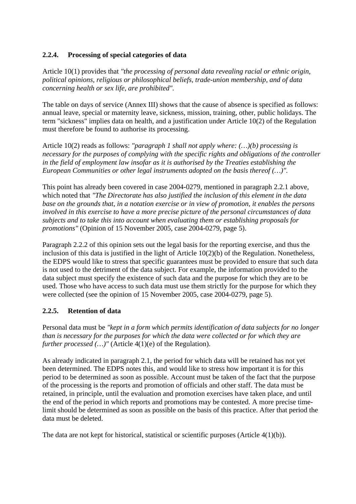# **2.2.4. Processing of special categories of data**

Article 10(1) provides that *"the processing of personal data revealing racial or ethnic origin, political opinions, religious or philosophical beliefs, trade-union membership, and of data concerning health or sex life, are prohibited".*

The table on days of service (Annex III) shows that the cause of absence is specified as follows: annual leave, special or maternity leave, sickness, mission, training, other, public holidays. The term "sickness" implies data on health, and a justification under Article 10(2) of the Regulation must therefore be found to authorise its processing.

Article 10(2) reads as follows: *"paragraph 1 shall not apply where: (…)(b) processing is necessary for the purposes of complying with the specific rights and obligations of the controller in the field of employment law insofar as it is authorised by the Treaties establishing the European Communities or other legal instruments adopted on the basis thereof (…)".* 

This point has already been covered in case 2004-0279, mentioned in paragraph 2.2.1 above, which noted that *"The Directorate has also justified the inclusion of this element in the data base on the grounds that, in a notation exercise or in view of promotion, it enables the persons involved in this exercise to have a more precise picture of the personal circumstances of data subjects and to take this into account when evaluating them or establishing proposals for promotions"* (Opinion of 15 November 2005, case 2004-0279, page 5).

Paragraph 2.2.2 of this opinion sets out the legal basis for the reporting exercise, and thus the inclusion of this data is justified in the light of Article 10(2)(b) of the Regulation. Nonetheless, the EDPS would like to stress that specific guarantees must be provided to ensure that such data is not used to the detriment of the data subject. For example, the information provided to the data subject must specify the existence of such data and the purpose for which they are to be used. Those who have access to such data must use them strictly for the purpose for which they were collected (see the opinion of 15 November 2005, case 2004-0279, page 5).

## **2.2.5. Retention of data**

Personal data must be *"kept in a form which permits identification of data subjects for no longer than is necessary for the purposes for which the data were collected or for which they are further processed (...)*" (Article 4(1)(e) of the Regulation).

As already indicated in paragraph 2.1, the period for which data will be retained has not yet been determined. The EDPS notes this, and would like to stress how important it is for this period to be determined as soon as possible. Account must be taken of the fact that the purpose of the processing is the reports and promotion of officials and other staff. The data must be retained, in principle, until the evaluation and promotion exercises have taken place, and until the end of the period in which reports and promotions may be contested. A more precise timelimit should be determined as soon as possible on the basis of this practice. After that period the data must be deleted.

The data are not kept for historical, statistical or scientific purposes (Article 4(1)(b)).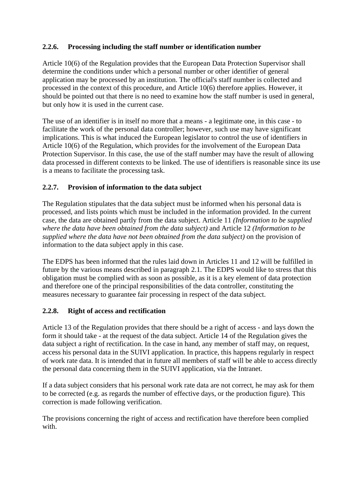# **2.2.6. Processing including the staff number or identification number**

Article 10(6) of the Regulation provides that the European Data Protection Supervisor shall determine the conditions under which a personal number or other identifier of general application may be processed by an institution. The official's staff number is collected and processed in the context of this procedure, and Article 10(6) therefore applies. However, it should be pointed out that there is no need to examine how the staff number is used in general, but only how it is used in the current case.

The use of an identifier is in itself no more that a means - a legitimate one, in this case - to facilitate the work of the personal data controller; however, such use may have significant implications. This is what induced the European legislator to control the use of identifiers in Article 10(6) of the Regulation, which provides for the involvement of the European Data Protection Supervisor. In this case, the use of the staff number may have the result of allowing data processed in different contexts to be linked. The use of identifiers is reasonable since its use is a means to facilitate the processing task.

# **2.2.7. Provision of information to the data subject**

The Regulation stipulates that the data subject must be informed when his personal data is processed, and lists points which must be included in the information provided. In the current case, the data are obtained partly from the data subject. Article 11 *(Information to be supplied where the data have been obtained from the data subject)* and Article 12 *(Information to be supplied where the data have not been obtained from the data subject)* on the provision of information to the data subject apply in this case.

The EDPS has been informed that the rules laid down in Articles 11 and 12 will be fulfilled in future by the various means described in paragraph 2.1. The EDPS would like to stress that this obligation must be complied with as soon as possible, as it is a key element of data protection and therefore one of the principal responsibilities of the data controller, constituting the measures necessary to guarantee fair processing in respect of the data subject.

## **2.2.8. Right of access and rectification**

Article 13 of the Regulation provides that there should be a right of access - and lays down the form it should take - at the request of the data subject. Article 14 of the Regulation gives the data subject a right of rectification. In the case in hand, any member of staff may, on request, access his personal data in the SUIVI application. In practice, this happens regularly in respect of work rate data. It is intended that in future all members of staff will be able to access directly the personal data concerning them in the SUIVI application, via the Intranet.

If a data subject considers that his personal work rate data are not correct, he may ask for them to be corrected (e.g. as regards the number of effective days, or the production figure). This correction is made following verification.

The provisions concerning the right of access and rectification have therefore been complied with.